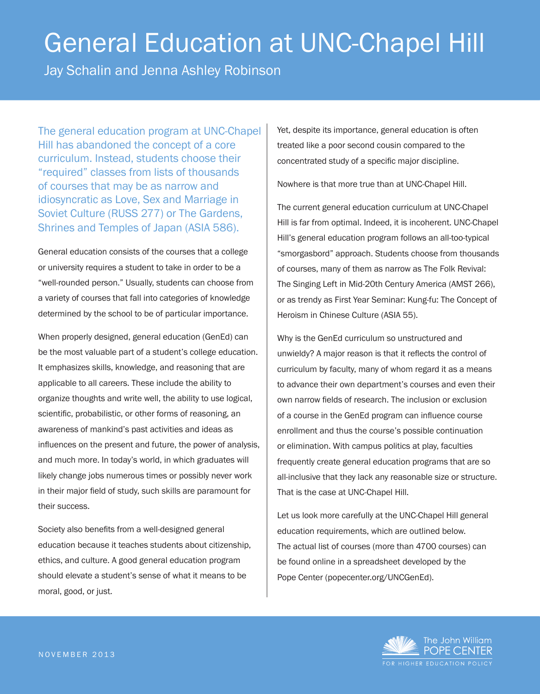# General Education at UNC-Chapel Hill

Jay Schalin and Jenna Ashley Robinson

The general education program at UNC-Chapel Hill has abandoned the concept of a core curriculum. Instead, students choose their "required" classes from lists of thousands of courses that may be as narrow and idiosyncratic as Love, Sex and Marriage in Soviet Culture (RUSS 277) or The Gardens, Shrines and Temples of Japan (ASIA 586).

General education consists of the courses that a college or university requires a student to take in order to be a "well-rounded person." Usually, students can choose from a variety of courses that fall into categories of knowledge determined by the school to be of particular importance.

When properly designed, general education (GenEd) can be the most valuable part of a student's college education. It emphasizes skills, knowledge, and reasoning that are applicable to all careers. These include the ability to organize thoughts and write well, the ability to use logical, scientific, probabilistic, or other forms of reasoning, an awareness of mankind's past activities and ideas as influences on the present and future, the power of analysis, and much more. In today's world, in which graduates will likely change jobs numerous times or possibly never work in their major field of study, such skills are paramount for their success.

Society also benefits from a well-designed general education because it teaches students about citizenship, ethics, and culture. A good general education program should elevate a student's sense of what it means to be moral, good, or just.

Yet, despite its importance, general education is often treated like a poor second cousin compared to the concentrated study of a specific major discipline.

Nowhere is that more true than at UNC-Chapel Hill.

The current general education curriculum at UNC-Chapel Hill is far from optimal. Indeed, it is incoherent. UNC-Chapel Hill's general education program follows an all-too-typical "smorgasbord" approach. Students choose from thousands of courses, many of them as narrow as The Folk Revival: The Singing Left in Mid-20th Century America (AMST 266), or as trendy as First Year Seminar: Kung-fu: The Concept of Heroism in Chinese Culture (ASIA 55).

Why is the GenEd curriculum so unstructured and unwieldy? A major reason is that it reflects the control of curriculum by faculty, many of whom regard it as a means to advance their own department's courses and even their own narrow fields of research. The inclusion or exclusion of a course in the GenEd program can influence course enrollment and thus the course's possible continuation or elimination. With campus politics at play, faculties frequently create general education programs that are so all-inclusive that they lack any reasonable size or structure. That is the case at UNC-Chapel Hill.

Let us look more carefully at the UNC-Chapel Hill general education requirements, which are outlined below. The actual list of courses (more than 4700 courses) can be found online in a spreadsheet developed by the Pope Center (popecenter.org/UNCGenEd).

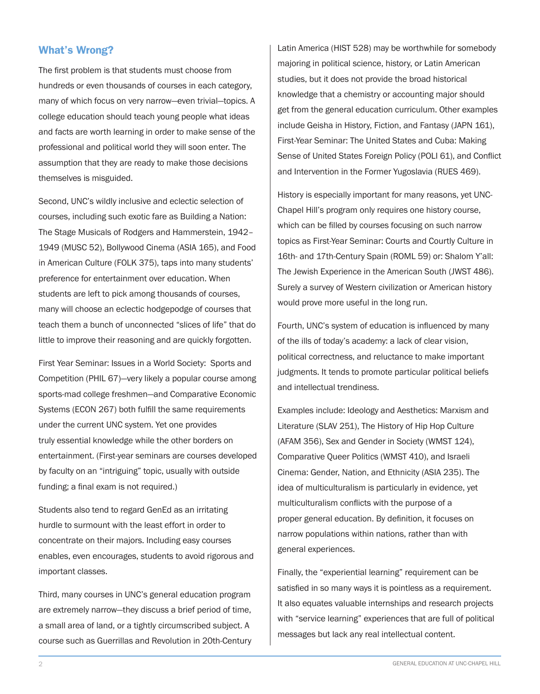# What's Wrong?

The first problem is that students must choose from hundreds or even thousands of courses in each category, many of which focus on very narrow—even trivial—topics. A college education should teach young people what ideas and facts are worth learning in order to make sense of the professional and political world they will soon enter. The assumption that they are ready to make those decisions themselves is misguided.

Second, UNC's wildly inclusive and eclectic selection of courses, including such exotic fare as Building a Nation: The Stage Musicals of Rodgers and Hammerstein, 1942– 1949 (MUSC 52), Bollywood Cinema (ASIA 165), and Food in American Culture (FOLK 375), taps into many students' preference for entertainment over education. When students are left to pick among thousands of courses, many will choose an eclectic hodgepodge of courses that teach them a bunch of unconnected "slices of life" that do little to improve their reasoning and are quickly forgotten.

First Year Seminar: Issues in a World Society: Sports and Competition (PHIL 67)—very likely a popular course among sports-mad college freshmen—and Comparative Economic Systems (ECON 267) both fulfill the same requirements under the current UNC system. Yet one provides truly essential knowledge while the other borders on entertainment. (First-year seminars are courses developed by faculty on an "intriguing" topic, usually with outside funding; a final exam is not required.)

Students also tend to regard GenEd as an irritating hurdle to surmount with the least effort in order to concentrate on their majors. Including easy courses enables, even encourages, students to avoid rigorous and important classes.

Third, many courses in UNC's general education program are extremely narrow—they discuss a brief period of time, a small area of land, or a tightly circumscribed subject. A course such as Guerrillas and Revolution in 20th-Century Latin America (HIST 528) may be worthwhile for somebody majoring in political science, history, or Latin American studies, but it does not provide the broad historical knowledge that a chemistry or accounting major should get from the general education curriculum. Other examples include Geisha in History, Fiction, and Fantasy (JAPN 161), First-Year Seminar: The United States and Cuba: Making Sense of United States Foreign Policy (POLI 61), and Conflict and Intervention in the Former Yugoslavia (RUES 469).

History is especially important for many reasons, yet UNC-Chapel Hill's program only requires one history course, which can be filled by courses focusing on such narrow topics as First-Year Seminar: Courts and Courtly Culture in 16th- and 17th-Century Spain (ROML 59) or: Shalom Y'all: The Jewish Experience in the American South (JWST 486). Surely a survey of Western civilization or American history would prove more useful in the long run.

Fourth, UNC's system of education is influenced by many of the ills of today's academy: a lack of clear vision, political correctness, and reluctance to make important judgments. It tends to promote particular political beliefs and intellectual trendiness.

Examples include: Ideology and Aesthetics: Marxism and Literature (SLAV 251), The History of Hip Hop Culture (AFAM 356), Sex and Gender in Society (WMST 124), Comparative Queer Politics (WMST 410), and Israeli Cinema: Gender, Nation, and Ethnicity (ASIA 235). The idea of multiculturalism is particularly in evidence, yet multiculturalism conflicts with the purpose of a proper general education. By definition, it focuses on narrow populations within nations, rather than with general experiences.

Finally, the "experiential learning" requirement can be satisfied in so many ways it is pointless as a requirement. It also equates valuable internships and research projects with "service learning" experiences that are full of political messages but lack any real intellectual content.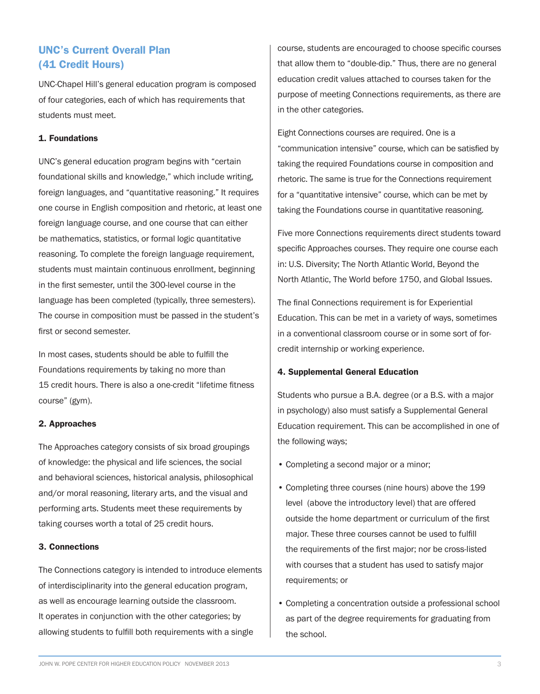# UNC's Current Overall Plan (41 Credit Hours)

UNC-Chapel Hill's general education program is composed of four categories, each of which has requirements that students must meet.

## 1. Foundations

UNC's general education program begins with "certain foundational skills and knowledge," which include writing, foreign languages, and "quantitative reasoning." It requires one course in English composition and rhetoric, at least one foreign language course, and one course that can either be mathematics, statistics, or formal logic quantitative reasoning. To complete the foreign language requirement, students must maintain continuous enrollment, beginning in the first semester, until the 300-level course in the language has been completed (typically, three semesters). The course in composition must be passed in the student's first or second semester.

In most cases, students should be able to fulfill the Foundations requirements by taking no more than 15 credit hours. There is also a one-credit "lifetime fitness course" (gym).

#### 2. Approaches

The Approaches category consists of six broad groupings of knowledge: the physical and life sciences, the social and behavioral sciences, historical analysis, philosophical and/or moral reasoning, literary arts, and the visual and performing arts. Students meet these requirements by taking courses worth a total of 25 credit hours.

## 3. Connections

The Connections category is intended to introduce elements of interdisciplinarity into the general education program, as well as encourage learning outside the classroom. It operates in conjunction with the other categories; by allowing students to fulfill both requirements with a single

course, students are encouraged to choose specific courses that allow them to "double-dip." Thus, there are no general education credit values attached to courses taken for the purpose of meeting Connections requirements, as there are in the other categories.

Eight Connections courses are required. One is a "communication intensive" course, which can be satisfied by taking the required Foundations course in composition and rhetoric. The same is true for the Connections requirement for a "quantitative intensive" course, which can be met by taking the Foundations course in quantitative reasoning.

Five more Connections requirements direct students toward specific Approaches courses. They require one course each in: U.S. Diversity; The North Atlantic World, Beyond the North Atlantic, The World before 1750, and Global Issues.

The final Connections requirement is for Experiential Education. This can be met in a variety of ways, sometimes in a conventional classroom course or in some sort of forcredit internship or working experience.

## 4. Supplemental General Education

Students who pursue a B.A. degree (or a B.S. with a major in psychology) also must satisfy a Supplemental General Education requirement. This can be accomplished in one of the following ways;

- Completing a second major or a minor;
- Completing three courses (nine hours) above the 199 level (above the introductory level) that are offered outside the home department or curriculum of the first major. These three courses cannot be used to fulfill the requirements of the first major; nor be cross-listed with courses that a student has used to satisfy major requirements; or
- Completing a concentration outside a professional school as part of the degree requirements for graduating from the school.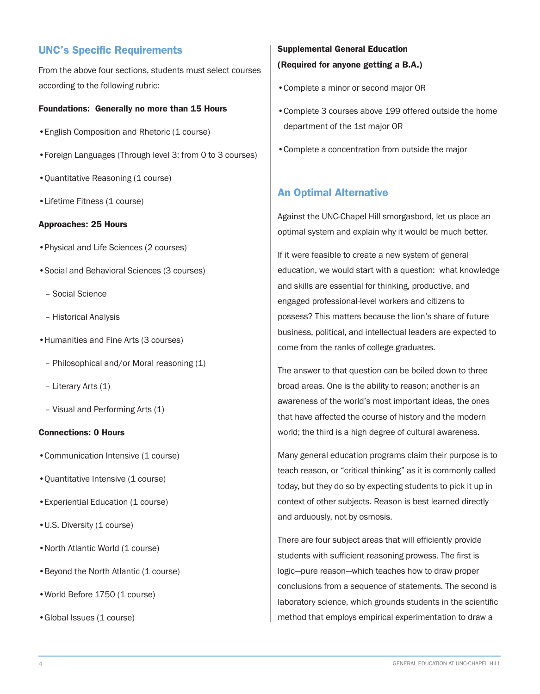# UNC's Specific Requirements

From the above four sections, students must select courses according to the following rubric:

## Foundations: Generally no more than 15 Hours

- •English Composition and Rhetoric (1 course)
- •Foreign Languages (Through level 3; from 0 to 3 courses)
- •Quantitative Reasoning (1 course)
- Lifetime Fitness (1 course)

## Approaches: 25 Hours

- •Physical and Life Sciences (2 courses)
- •Social and Behavioral Sciences (3 courses)
	- Social Science
	- Historical Analysis
- •Humanities and Fine Arts (3 courses)
	- Philosophical and/or Moral reasoning (1)
	- Literary Arts (1)
	- Visual and Performing Arts (1)

## Connections: 0 Hours

- Communication Intensive (1 course)
- •Quantitative Intensive (1 course)
- •Experiential Education (1 course)
- U.S. Diversity (1 course)
- North Atlantic World (1 course)
- Beyond the North Atlantic (1 course)
- World Before 1750 (1 course)
- Global Issues (1 course)

# Supplemental General Education (Required for anyone getting a B.A.)

- •Complete a minor or second major OR
- •Complete 3 courses above 199 offered outside the home department of the 1st major OR
- •Complete a concentration from outside the major

# An Optimal Alternative

Against the UNC-Chapel Hill smorgasbord, let us place an optimal system and explain why it would be much better.

If it were feasible to create a new system of general education, we would start with a question: what knowledge and skills are essential for thinking, productive, and engaged professional-level workers and citizens to possess? This matters because the lion's share of future business, political, and intellectual leaders are expected to come from the ranks of college graduates.

The answer to that question can be boiled down to three broad areas. One is the ability to reason; another is an awareness of the world's most important ideas, the ones that have affected the course of history and the modern world; the third is a high degree of cultural awareness.

Many general education programs claim their purpose is to teach reason, or "critical thinking" as it is commonly called today, but they do so by expecting students to pick it up in context of other subjects. Reason is best learned directly and arduously, not by osmosis.

There are four subject areas that will efficiently provide students with sufficient reasoning prowess. The first is logic—pure reason—which teaches how to draw proper conclusions from a sequence of statements. The second is laboratory science, which grounds students in the scientific method that employs empirical experimentation to draw a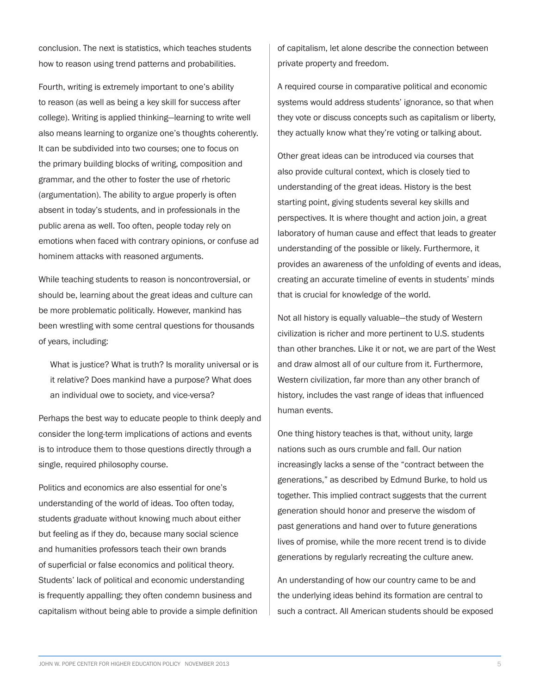conclusion. The next is statistics, which teaches students how to reason using trend patterns and probabilities.

Fourth, writing is extremely important to one's ability to reason (as well as being a key skill for success after college). Writing is applied thinking—learning to write well also means learning to organize one's thoughts coherently. It can be subdivided into two courses; one to focus on the primary building blocks of writing, composition and grammar, and the other to foster the use of rhetoric (argumentation). The ability to argue properly is often absent in today's students, and in professionals in the public arena as well. Too often, people today rely on emotions when faced with contrary opinions, or confuse ad hominem attacks with reasoned arguments.

While teaching students to reason is noncontroversial, or should be, learning about the great ideas and culture can be more problematic politically. However, mankind has been wrestling with some central questions for thousands of years, including:

What is justice? What is truth? Is morality universal or is it relative? Does mankind have a purpose? What does an individual owe to society, and vice-versa?

Perhaps the best way to educate people to think deeply and consider the long-term implications of actions and events is to introduce them to those questions directly through a single, required philosophy course.

Politics and economics are also essential for one's understanding of the world of ideas. Too often today, students graduate without knowing much about either but feeling as if they do, because many social science and humanities professors teach their own brands of superficial or false economics and political theory. Students' lack of political and economic understanding is frequently appalling; they often condemn business and capitalism without being able to provide a simple definition of capitalism, let alone describe the connection between private property and freedom.

A required course in comparative political and economic systems would address students' ignorance, so that when they vote or discuss concepts such as capitalism or liberty, they actually know what they're voting or talking about.

Other great ideas can be introduced via courses that also provide cultural context, which is closely tied to understanding of the great ideas. History is the best starting point, giving students several key skills and perspectives. It is where thought and action join, a great laboratory of human cause and effect that leads to greater understanding of the possible or likely. Furthermore, it provides an awareness of the unfolding of events and ideas, creating an accurate timeline of events in students' minds that is crucial for knowledge of the world.

Not all history is equally valuable—the study of Western civilization is richer and more pertinent to U.S. students than other branches. Like it or not, we are part of the West and draw almost all of our culture from it. Furthermore, Western civilization, far more than any other branch of history, includes the vast range of ideas that influenced human events.

One thing history teaches is that, without unity, large nations such as ours crumble and fall. Our nation increasingly lacks a sense of the "contract between the generations," as described by Edmund Burke, to hold us together. This implied contract suggests that the current generation should honor and preserve the wisdom of past generations and hand over to future generations lives of promise, while the more recent trend is to divide generations by regularly recreating the culture anew.

An understanding of how our country came to be and the underlying ideas behind its formation are central to such a contract. All American students should be exposed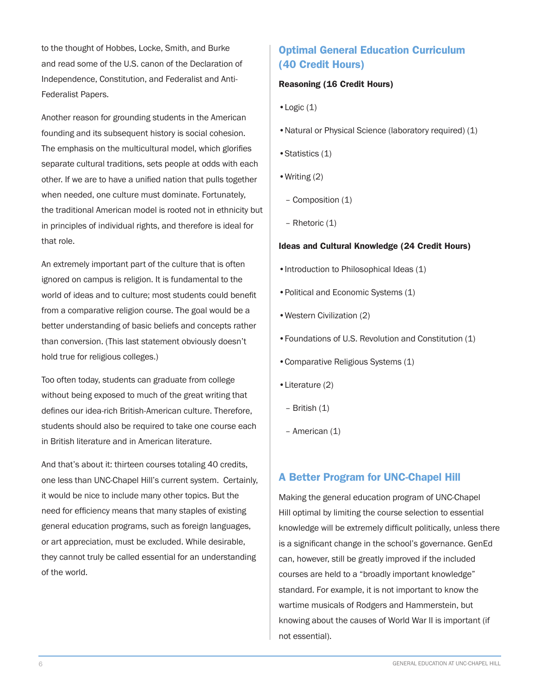to the thought of Hobbes, Locke, Smith, and Burke and read some of the U.S. canon of the Declaration of Independence, Constitution, and Federalist and Anti-Federalist Papers.

Another reason for grounding students in the American founding and its subsequent history is social cohesion. The emphasis on the multicultural model, which glorifies separate cultural traditions, sets people at odds with each other. If we are to have a unified nation that pulls together when needed, one culture must dominate. Fortunately, the traditional American model is rooted not in ethnicity but in principles of individual rights, and therefore is ideal for that role.

An extremely important part of the culture that is often ignored on campus is religion. It is fundamental to the world of ideas and to culture; most students could benefit from a comparative religion course. The goal would be a better understanding of basic beliefs and concepts rather than conversion. (This last statement obviously doesn't hold true for religious colleges.)

Too often today, students can graduate from college without being exposed to much of the great writing that defines our idea-rich British-American culture. Therefore, students should also be required to take one course each in British literature and in American literature.

And that's about it: thirteen courses totaling 40 credits, one less than UNC-Chapel Hill's current system. Certainly, it would be nice to include many other topics. But the need for efficiency means that many staples of existing general education programs, such as foreign languages, or art appreciation, must be excluded. While desirable, they cannot truly be called essential for an understanding of the world.

# Optimal General Education Curriculum (40 Credit Hours)

# Reasoning (16 Credit Hours)

- •Logic (1)
- •Natural or Physical Science (laboratory required) (1)
- •Statistics (1)
- •Writing (2)
- Composition (1)
- Rhetoric (1)

## Ideas and Cultural Knowledge (24 Credit Hours)

- Introduction to Philosophical Ideas (1)
- •Political and Economic Systems (1)
- •Western Civilization (2)
- •Foundations of U.S. Revolution and Constitution (1)
- •Comparative Religious Systems (1)
- •Literature (2)
- British (1)
- American (1)

# A Better Program for UNC-Chapel Hill

Making the general education program of UNC-Chapel Hill optimal by limiting the course selection to essential knowledge will be extremely difficult politically, unless there is a significant change in the school's governance. GenEd can, however, still be greatly improved if the included courses are held to a "broadly important knowledge" standard. For example, it is not important to know the wartime musicals of Rodgers and Hammerstein, but knowing about the causes of World War II is important (if not essential).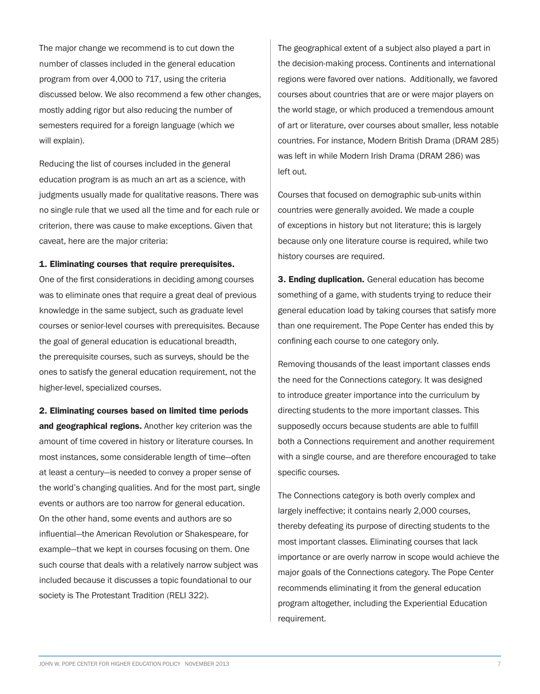The major change we recommend is to cut down the number of classes included in the general education program from over 4,000 to 717, using the criteria discussed below. We also recommend a few other changes, mostly adding rigor but also reducing the number of semesters required for a foreign language (which we will explain).

Reducing the list of courses included in the general education program is as much an art as a science, with judgments usually made for qualitative reasons. There was no single rule that we used all the time and for each rule or criterion, there was cause to make exceptions. Given that caveat, here are the major criteria:

#### 1. Eliminating courses that require prerequisites.

One of the first considerations in deciding among courses was to eliminate ones that require a great deal of previous knowledge in the same subject, such as graduate level courses or senior-level courses with prerequisites. Because the goal of general education is educational breadth, the prerequisite courses, such as surveys, should be the ones to satisfy the general education requirement, not the higher-level, specialized courses.

2. Eliminating courses based on limited time periods and geographical regions. Another key criterion was the amount of time covered in history or literature courses. In most instances, some considerable length of time—often at least a century—is needed to convey a proper sense of the world's changing qualities. And for the most part, single events or authors are too narrow for general education. On the other hand, some events and authors are so influential—the American Revolution or Shakespeare, for example—that we kept in courses focusing on them. One such course that deals with a relatively narrow subject was included because it discusses a topic foundational to our society is The Protestant Tradition (RELI 322).

The geographical extent of a subject also played a part in the decision-making process. Continents and international regions were favored over nations. Additionally, we favored courses about countries that are or were major players on the world stage, or which produced a tremendous amount of art or literature, over courses about smaller, less notable countries. For instance, Modern British Drama (DRAM 285) was left in while Modern Irish Drama (DRAM 286) was left out.

Courses that focused on demographic sub-units within countries were generally avoided. We made a couple of exceptions in history but not literature; this is largely because only one literature course is required, while two history courses are required.

**3. Ending duplication.** General education has become something of a game, with students trying to reduce their general education load by taking courses that satisfy more than one requirement. The Pope Center has ended this by confining each course to one category only.

Removing thousands of the least important classes ends the need for the Connections category. It was designed to introduce greater importance into the curriculum by directing students to the more important classes. This supposedly occurs because students are able to fulfill both a Connections requirement and another requirement with a single course, and are therefore encouraged to take specific courses.

The Connections category is both overly complex and largely ineffective; it contains nearly 2,000 courses, thereby defeating its purpose of directing students to the most important classes. Eliminating courses that lack importance or are overly narrow in scope would achieve the major goals of the Connections category. The Pope Center recommends eliminating it from the general education program altogether, including the Experiential Education requirement.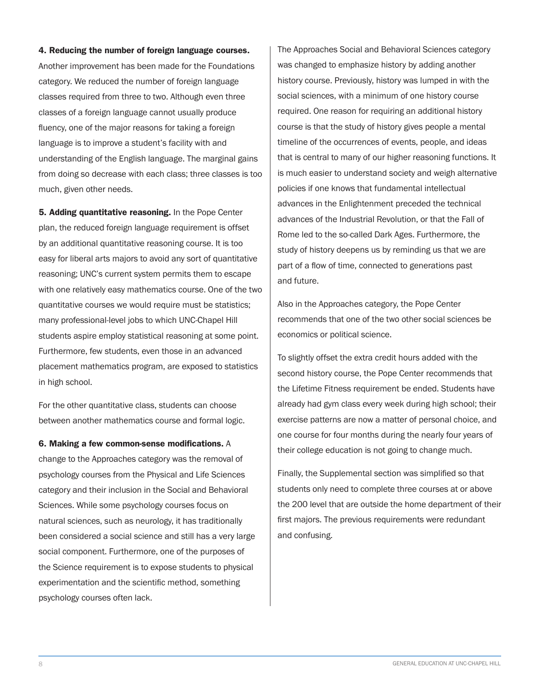#### 4. Reducing the number of foreign language courses.

Another improvement has been made for the Foundations category. We reduced the number of foreign language classes required from three to two. Although even three classes of a foreign language cannot usually produce fluency, one of the major reasons for taking a foreign language is to improve a student's facility with and understanding of the English language. The marginal gains from doing so decrease with each class; three classes is too much, given other needs.

5. Adding quantitative reasoning. In the Pope Center plan, the reduced foreign language requirement is offset by an additional quantitative reasoning course. It is too easy for liberal arts majors to avoid any sort of quantitative reasoning; UNC's current system permits them to escape with one relatively easy mathematics course. One of the two quantitative courses we would require must be statistics; many professional-level jobs to which UNC-Chapel Hill students aspire employ statistical reasoning at some point. Furthermore, few students, even those in an advanced placement mathematics program, are exposed to statistics in high school.

For the other quantitative class, students can choose between another mathematics course and formal logic.

### 6. Making a few common-sense modifications. A

change to the Approaches category was the removal of psychology courses from the Physical and Life Sciences category and their inclusion in the Social and Behavioral Sciences. While some psychology courses focus on natural sciences, such as neurology, it has traditionally been considered a social science and still has a very large social component. Furthermore, one of the purposes of the Science requirement is to expose students to physical experimentation and the scientific method, something psychology courses often lack.

The Approaches Social and Behavioral Sciences category was changed to emphasize history by adding another history course. Previously, history was lumped in with the social sciences, with a minimum of one history course required. One reason for requiring an additional history course is that the study of history gives people a mental timeline of the occurrences of events, people, and ideas that is central to many of our higher reasoning functions. It is much easier to understand society and weigh alternative policies if one knows that fundamental intellectual advances in the Enlightenment preceded the technical advances of the Industrial Revolution, or that the Fall of Rome led to the so-called Dark Ages. Furthermore, the study of history deepens us by reminding us that we are part of a flow of time, connected to generations past and future.

Also in the Approaches category, the Pope Center recommends that one of the two other social sciences be economics or political science.

To slightly offset the extra credit hours added with the second history course, the Pope Center recommends that the Lifetime Fitness requirement be ended. Students have already had gym class every week during high school; their exercise patterns are now a matter of personal choice, and one course for four months during the nearly four years of their college education is not going to change much.

Finally, the Supplemental section was simplified so that students only need to complete three courses at or above the 200 level that are outside the home department of their first majors. The previous requirements were redundant and confusing.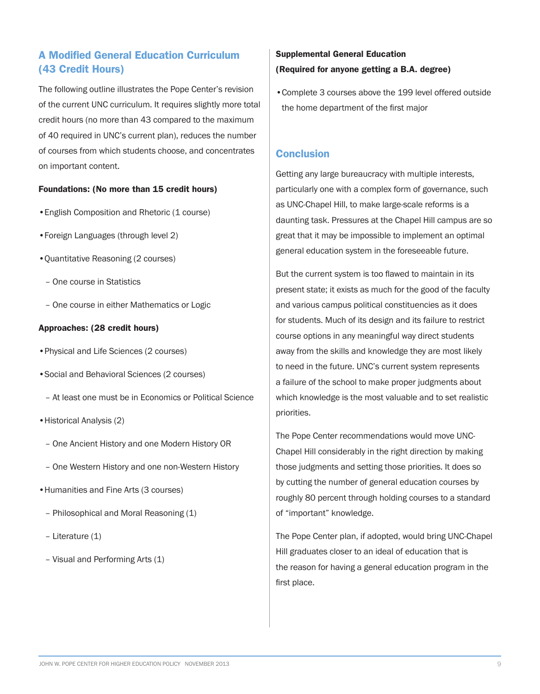# A Modified General Education Curriculum (43 Credit Hours)

The following outline illustrates the Pope Center's revision of the current UNC curriculum. It requires slightly more total credit hours (no more than 43 compared to the maximum of 40 required in UNC's current plan), reduces the number of courses from which students choose, and concentrates on important content.

### Foundations: (No more than 15 credit hours)

- •English Composition and Rhetoric (1 course)
- •Foreign Languages (through level 2)
- •Quantitative Reasoning (2 courses)
	- One course in Statistics
	- One course in either Mathematics or Logic

#### Approaches: (28 credit hours)

- •Physical and Life Sciences (2 courses)
- •Social and Behavioral Sciences (2 courses)
	- At least one must be in Economics or Political Science
- •Historical Analysis (2)
	- One Ancient History and one Modern History OR
	- One Western History and one non-Western History
- •Humanities and Fine Arts (3 courses)
	- Philosophical and Moral Reasoning (1)
	- Literature (1)
	- Visual and Performing Arts (1)

# Supplemental General Education (Required for anyone getting a B.A. degree)

•Complete 3 courses above the 199 level offered outside the home department of the first major

# **Conclusion**

Getting any large bureaucracy with multiple interests, particularly one with a complex form of governance, such as UNC-Chapel Hill, to make large-scale reforms is a daunting task. Pressures at the Chapel Hill campus are so great that it may be impossible to implement an optimal general education system in the foreseeable future.

But the current system is too flawed to maintain in its present state; it exists as much for the good of the faculty and various campus political constituencies as it does for students. Much of its design and its failure to restrict course options in any meaningful way direct students away from the skills and knowledge they are most likely to need in the future. UNC's current system represents a failure of the school to make proper judgments about which knowledge is the most valuable and to set realistic priorities.

The Pope Center recommendations would move UNC-Chapel Hill considerably in the right direction by making those judgments and setting those priorities. It does so by cutting the number of general education courses by roughly 80 percent through holding courses to a standard of "important" knowledge.

The Pope Center plan, if adopted, would bring UNC-Chapel Hill graduates closer to an ideal of education that is the reason for having a general education program in the first place.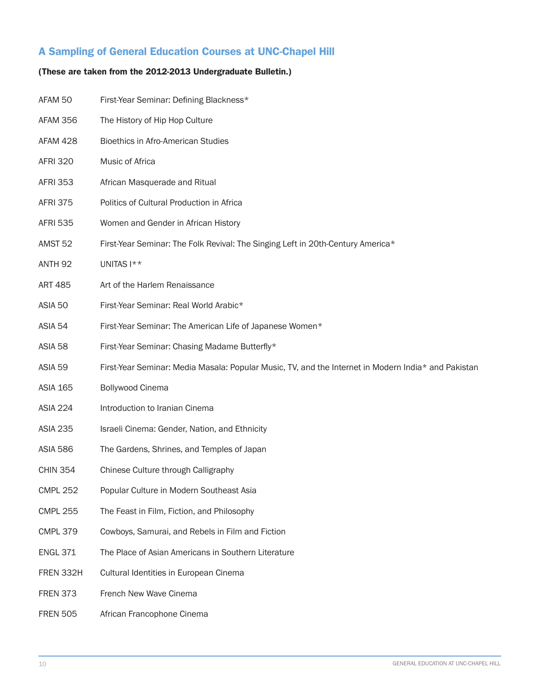# A Sampling of General Education Courses at UNC-Chapel Hill

# (These are taken from the 2012-2013 Undergraduate Bulletin.)

| AFAM 50            | First-Year Seminar: Defining Blackness*                                                             |
|--------------------|-----------------------------------------------------------------------------------------------------|
| AFAM 356           | The History of Hip Hop Culture                                                                      |
| AFAM 428           | <b>Bioethics in Afro-American Studies</b>                                                           |
| <b>AFRI 320</b>    | Music of Africa                                                                                     |
| <b>AFRI 353</b>    | African Masquerade and Ritual                                                                       |
| <b>AFRI 375</b>    | Politics of Cultural Production in Africa                                                           |
| <b>AFRI 535</b>    | Women and Gender in African History                                                                 |
| AMST <sub>52</sub> | First-Year Seminar: The Folk Revival: The Singing Left in 20th-Century America*                     |
| ANTH <sub>92</sub> | UNITAS I**                                                                                          |
| <b>ART 485</b>     | Art of the Harlem Renaissance                                                                       |
| ASIA 50            | First-Year Seminar: Real World Arabic*                                                              |
| ASIA 54            | First-Year Seminar: The American Life of Japanese Women*                                            |
| ASIA 58            | First-Year Seminar: Chasing Madame Butterfly*                                                       |
| ASIA 59            | First-Year Seminar: Media Masala: Popular Music, TV, and the Internet in Modern India* and Pakistan |
| <b>ASIA 165</b>    | <b>Bollywood Cinema</b>                                                                             |
| <b>ASIA 224</b>    | Introduction to Iranian Cinema                                                                      |
| <b>ASIA 235</b>    | Israeli Cinema: Gender, Nation, and Ethnicity                                                       |
| <b>ASIA 586</b>    | The Gardens, Shrines, and Temples of Japan                                                          |
| <b>CHIN 354</b>    | Chinese Culture through Calligraphy                                                                 |
| <b>CMPL 252</b>    | Popular Culture in Modern Southeast Asia                                                            |
| <b>CMPL 255</b>    | The Feast in Film, Fiction, and Philosophy                                                          |
| <b>CMPL 379</b>    | Cowboys, Samurai, and Rebels in Film and Fiction                                                    |
| <b>ENGL 371</b>    | The Place of Asian Americans in Southern Literature                                                 |
| FREN 332H          | Cultural Identities in European Cinema                                                              |
| <b>FREN 373</b>    | French New Wave Cinema                                                                              |
| <b>FREN 505</b>    | African Francophone Cinema                                                                          |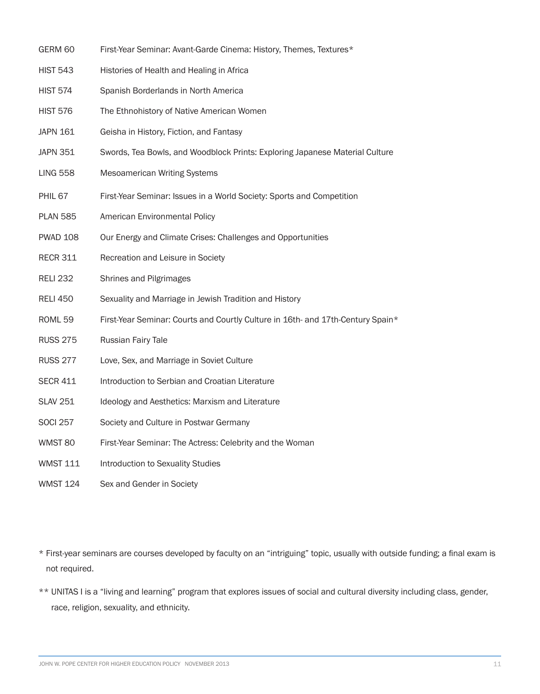- GERM 60 First-Year Seminar: Avant-Garde Cinema: History, Themes, Textures\*
- HIST 543 Histories of Health and Healing in Africa
- HIST 574 Spanish Borderlands in North America
- HIST 576 The Ethnohistory of Native American Women
- JAPN 161 Geisha in History, Fiction, and Fantasy
- JAPN 351 Swords, Tea Bowls, and Woodblock Prints: Exploring Japanese Material Culture
- LING 558 Mesoamerican Writing Systems
- PHIL 67 First-Year Seminar: Issues in a World Society: Sports and Competition
- PLAN 585 American Environmental Policy
- PWAD 108 Our Energy and Climate Crises: Challenges and Opportunities
- RECR 311 Recreation and Leisure in Society
- RELI 232 Shrines and Pilgrimages
- RELI 450 Sexuality and Marriage in Jewish Tradition and History
- ROML 59 First-Year Seminar: Courts and Courtly Culture in 16th- and 17th-Century Spain\*
- RUSS 275 Russian Fairy Tale
- RUSS 277 Love, Sex, and Marriage in Soviet Culture
- SECR 411 Introduction to Serbian and Croatian Literature
- SLAV 251 Ideology and Aesthetics: Marxism and Literature
- SOCI 257 Society and Culture in Postwar Germany
- WMST 80 First-Year Seminar: The Actress: Celebrity and the Woman
- WMST 111 Introduction to Sexuality Studies
- WMST 124 Sex and Gender in Society
- \* First-year seminars are courses developed by faculty on an "intriguing" topic, usually with outside funding; a final exam is not required.
- \*\* UNITAS I is a "living and learning" program that explores issues of social and cultural diversity including class, gender, race, religion, sexuality, and ethnicity.